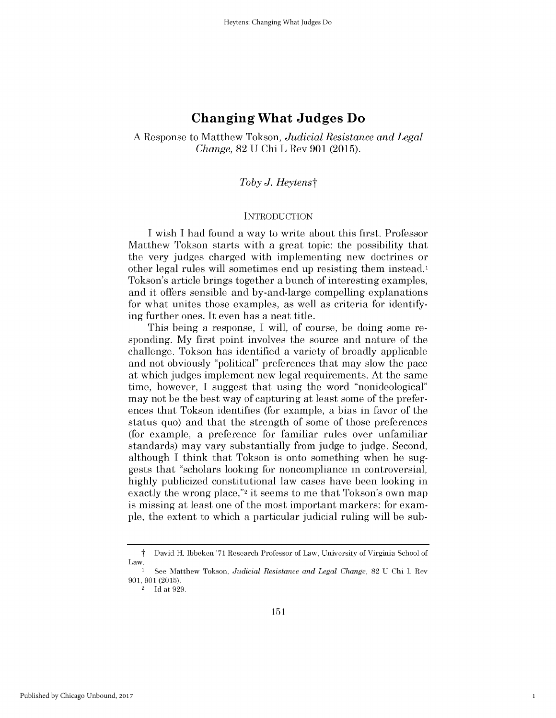# **Changing What Judges Do**

A Response to Matthew Tokson, *Judicial Resistance and Legal Change,* 82 U Chi L Rev 901 (2015).

## Toby J. Heytenst

### INTRODUCTION

I wish I had found a way to write about this first. Professor Matthew Tokson starts with a great topic: the possibility that the very judges charged with implementing new doctrines or other legal rules will sometimes end up resisting them instead.1 Tokson's article brings together a bunch of interesting examples, and it offers sensible and by-and-large compelling explanations for what unites those examples, as well as criteria for identifying further ones. It even has a neat title.

This being a response, I will, of course, be doing some responding. My first point involves the source and nature of the challenge. Tokson has identified a variety of broadly applicable and not obviously "political" preferences that may slow the pace at which judges implement new legal requirements. At the same time, however, I suggest that using the word "nonideological" may not be the best way of capturing at least some of the preferences that Tokson identifies (for example, a bias in favor of the status quo) and that the strength of some of those preferences (for example, a preference for familiar rules over unfamiliar standards) may vary substantially from judge to judge. Second, although I think that Tokson is onto something when he suggests that "scholars looking for noncompliance in controversial, highly publicized constitutional law cases have been looking in exactly the wrong place,"<sup>2</sup> it seems to me that Tokson's own map is missing at least one of the most important markers: for example, the extent to which a particular judicial ruling will be sub-

1

t David H. Ibbeken '71 Research Professor of Law, University of Virginia School of Law.

<sup>1</sup>See Matthew Tokson, *Judicial Resistance and Legal Change,* 82 U Chi L Rev 901, 901 (2015).

<sup>&</sup>lt;sup>2</sup> Id at 929.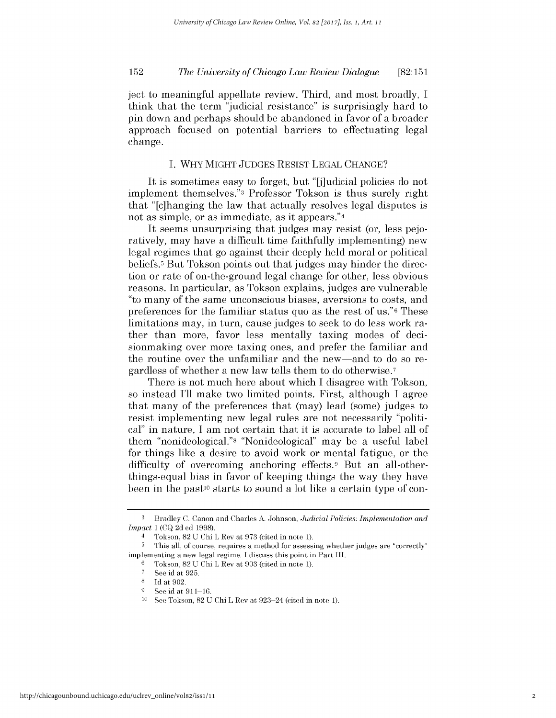ject to meaningful appellate review. Third, and most broadly, I think that the term "judicial resistance" is surprisingly hard to pin down and perhaps should be abandoned in favor of a broader approach focused on potential barriers to effectuating legal change.

## I. WHY MIGHT JUDGES RESIST LEGAL CHANGE?

It is sometimes easy to forget, but "[j]udicial policies do not implement themselves." Professor Tokson is thus surely right that "[c]hanging the law that actually resolves legal disputes is not as simple, or as immediate, as it appears."<sup>4</sup>

It seems unsurprising that judges may resist (or, less pejoratively, may have a difficult time faithfully implementing) new legal regimes that go against their deeply held moral or political beliefs.5 But Tokson points out that judges may hinder the direction or rate of on-the-ground legal change for other, less obvious reasons. In particular, as Tokson explains, judges are vulnerable "to many of the same unconscious biases, aversions to costs, and preferences for the familiar status quo as the rest of us."6 These limitations may, in turn, cause judges to seek to do less work rather than more, favor less mentally taxing modes of decisionmaking over more taxing ones, and prefer the familiar and the routine over the unfamiliar and the new-and to do so regardless of whether a new law tells them to do otherwise. <sup>7</sup>

There is not much here about which I disagree with Tokson, so instead I'll make two limited points. First, although I agree that many of the preferences that (may) lead (some) judges to resist implementing new legal rules are not necessarily "political" in nature, I am not certain that it is accurate to label all of them "nonideological."8 "Nonideological" may be a useful label for things like a desire to avoid work or mental fatigue, or the difficulty of overcoming anchoring effects.9 But an all-otherthings-equal bias in favor of keeping things the way they have been in the past<sup>10</sup> starts to sound a lot like a certain type of con-

**<sup>3</sup>** Bradley C. Canon and Charles A. Johnson, *Judicial Policies: Implementation and Impact* 1 (CQ 2d ed 1998).

<sup>4</sup>Tokson, 82 U Chi L Rev at 973 (cited in note 1).

**<sup>5</sup>** This all, of course, requires a method for assessing whether judges are "correctly" implementing a new legal regime. I discuss this point in Part III.

Tokson, 82 U Chi L Rev at 903 (cited in note 1).

<sup>&</sup>lt;sup>7</sup> See id at 925.<br><sup>8</sup> Id at 902

 $\frac{8}{9}$  Id at 902.

See id at 911-16.

See Tokson, 82 U Chi L Rev at 923-24 (cited in note 1).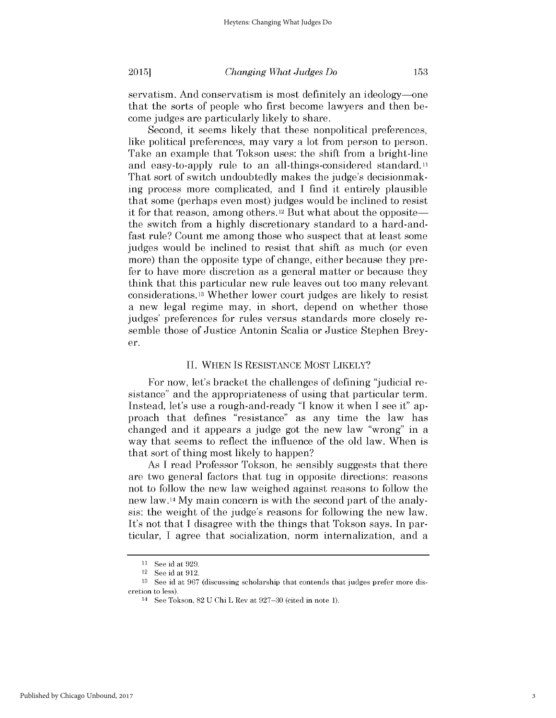153

Second, it seems likely that these nonpolitical preferences, like political preferences, may vary a lot from person to person. Take an example that Tokson uses: the shift from a bright-line and easy-to-apply rule to an all-things-considered standard.11 That sort of switch undoubtedly makes the judge's decisionmaking process more complicated, and I find it entirely plausible that some (perhaps even most) judges would be inclined to resist it for that reason, among others.<sup>12</sup> But what about the opposite the switch from a highly discretionary standard to a hard-andfast rule? Count me among those who suspect that at least some judges would be inclined to resist that shift as much (or even more) than the opposite type of change, either because they prefer to have more discretion as a general matter or because they think that this particular new rule leaves out too many relevant considerations. 13 Whether lower court judges are likely to resist a new legal regime may, in short, depend on whether those judges' preferences for rules versus standards more closely resemble those of Justice Antonin Scalia or Justice Stephen Breyer.

### II. WHEN IS RESISTANCE MOST LIKELY?

For now, let's bracket the challenges of defining "judicial resistance" and the appropriateness of using that particular term. Instead, let's use a rough-and-ready "I know it when I see it" approach that defines "resistance" as any time the law has changed and it appears a judge got the new law "wrong" in a way that seems to reflect the influence of the old law. When is that sort of thing most likely to happen?

As I read Professor Tokson, he sensibly suggests that there are two general factors that tug in opposite directions: reasons not to follow the new law weighed against reasons to follow the new law. **<sup>14</sup> My** main concern is with the second part of the analysis: the weight of the judge's reasons for following the new law. It's not that I disagree with the things that Tokson says. In particular, I agree that socialization, norm internalization, and a

**<sup>11</sup>**See id at 929.

<sup>&</sup>lt;sup>12</sup> See id at 912.

<sup>13</sup> See id at 967 (discussing scholarship that contends that judges prefer more discretion to less).

<sup>14</sup>See Tokson, 82 U Chi L Rev at 927-30 (cited in note 1).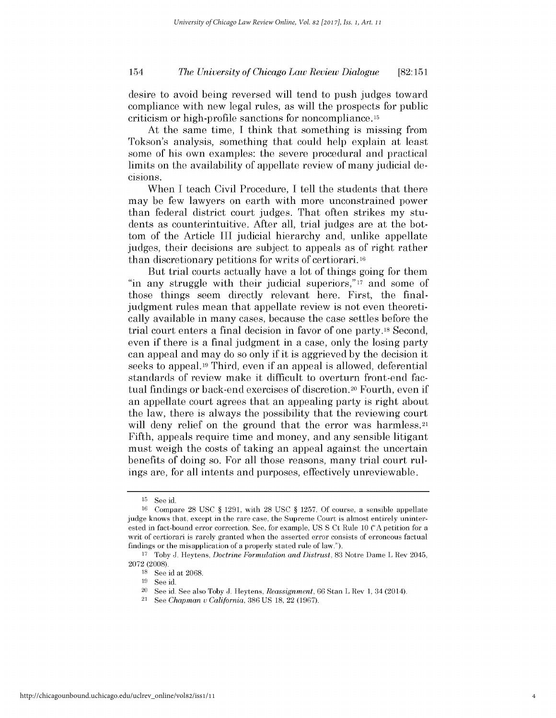desire to avoid being reversed will tend to push judges toward compliance with new legal rules, as will the prospects for public criticism or high-profile sanctions for noncompliance. 15

At the same time, I think that something is missing from Tokson's analysis, something that could help explain at least some of his own examples: the severe procedural and practical limits on the availability of appellate review of many judicial decisions.

When I teach Civil Procedure, I tell the students that there may be few lawyers on earth with more unconstrained power than federal district court judges. That often strikes my students as counterintuitive. After all, trial judges are at the bottom of the Article III judicial hierarchy and, unlike appellate judges, their decisions are subject to appeals as of right rather than discretionary petitions for writs of certiorari. 16

But trial courts actually have a lot of things going for them "in any struggle with their judicial superiors,"<sup>17</sup> and some of those things seem directly relevant here. First, the finaljudgment rules mean that appellate review is not even theoretically available in many cases, because the case settles before the trial court enters a final decision in favor of one party.<sup>18</sup> Second, even if there is a final judgment in a case, only the losing party can appeal and may do so only if it is aggrieved by the decision it seeks to appeal.19 Third, even if an appeal is allowed, deferential standards of review make it difficult to overturn front-end factual findings or back-end exercises of discretion.20 Fourth, even if an appellate court agrees that an appealing party is right about the law, there is always the possibility that the reviewing court will deny relief on the ground that the error was harmless.<sup>21</sup> Fifth, appeals require time and money, and any sensible litigant must weigh the costs of taking an appeal against the uncertain benefits of doing so. For all those reasons, many trial court rulings are, for all intents and purposes, effectively unreviewable.

 $15$  See id.

<sup>&</sup>lt;sup>16</sup> Compare 28 USC § 1291, with 28 USC § 1257. Of course, a sensible appellate judge knows that, except in the rare case, the Supreme Court is almost entirely uninterested in fact-bound error correction. See, for example, US S Ct Rule 10 **("A** petition for a writ of certiorari is rarely granted when the asserted error consists of erroneous factual findings or the misapplication of a properly stated rule of law.").

<sup>&</sup>lt;sup>17</sup> Toby J. Heytens, *Doctrine Formulation and Distrust*, 83 Notre Dame L Rev 2045, 2072 (2008).

<sup>&</sup>lt;sup>18</sup> See id at 2068.

<sup>19</sup> See id.

<sup>20</sup>See id. See also Toby J. Heytens, *Reassignment,* 66 Stan L Rev 1, 34 (2014).

<sup>21</sup>See *Chapman u California,* 386 US 18, 22 (1967).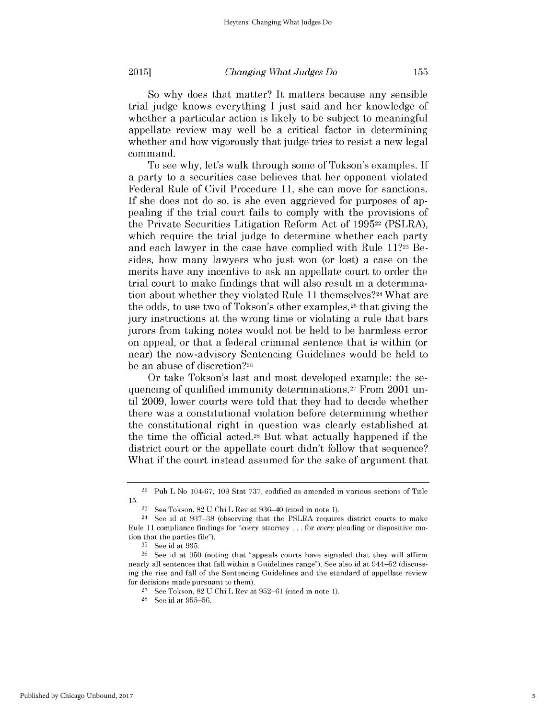155

So why does that matter? It matters because any sensible trial judge knows everything I just said and her knowledge of whether a particular action is likely to be subject to meaningful appellate review may well be a critical factor in determining whether and how vigorously that judge tries to resist a new legal command.

To see why, let's walk through some of Tokson's examples. If a party to a securities case believes that her opponent violated Federal Rule of Civil Procedure 11, she can move for sanctions. If she does not do so, is she even aggrieved for purposes of appealing if the trial court fails to comply with the provisions of the Private Securities Litigation Reform Act of 199522 (PSLRA), which require the trial judge to determine whether each party and each lawyer in the case have complied with Rule 11?23 Besides, how many lawyers who just won (or lost) a case on the merits have any incentive to ask an appellate court to order the trial court to make findings that will also result in a determination about whether they violated Rule 11 themselves?<sup>24</sup> What are the odds, to use two of Tokson's other examples,<sup>25</sup> that giving the jury instructions at the wrong time or violating a rule that bars jurors from taking notes would not be held to be harmless error on appeal, or that a federal criminal sentence that is within (or near) the now-advisory Sentencing Guidelines would be held to be an abuse of discretion?26

Or take Tokson's last and most developed example: the sequencing of qualified immunity determinations.27 From 2001 until 2009, lower courts were told that they had to decide whether there was a constitutional violation before determining whether the constitutional right in question was clearly established at the time the official acted.28 But what actually happened if the district court or the appellate court didn't follow that sequence? What if the court instead assumed for the sake of argument that

 $22$  Pub L No 104-67, 109 Stat 737, codified as amended in various sections of Title 15.

 $23$  See Tokson,  $82$  U Chi L Rev at  $936-40$  (cited in note 1).

<sup>24</sup>See id at 937-38 (observing that the PSLRA requires district courts to make Rule 11 compliance findings for *"every* attorney **...** for *every* pleading or dispositive motion that the parties file").

<sup>&</sup>lt;sup>25</sup> See id at 935.

**<sup>26</sup>**See id at 950 (noting that "appeals courts have signaled that they will affirm nearly all sentences that fall within a Guidelines range"). See also id at 944-52 (discussing the rise and fall of the Sentencing Guidelines and the standard of appellate review for decisions made pursuant to them).

See Tokson, 82 U Chi L Rev at 952-61 (cited in note 1).

<sup>&</sup>lt;sup>28</sup> See id at 955-56.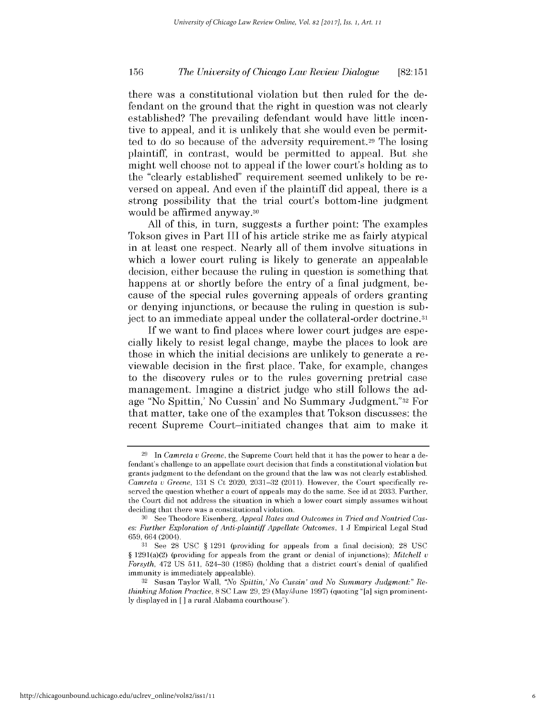there was a constitutional violation but then ruled for the defendant on the ground that the right in question was not clearly established? The prevailing defendant would have little incentive to appeal, and it is unlikely that she would even be permitted to do so because of the adversity requirement.29 The losing plaintiff, in contrast, would be permitted to appeal. But she might well choose not to appeal if the lower court's holding as to the "clearly established" requirement seemed unlikely to be reversed on appeal. And even if the plaintiff did appeal, there is a strong possibility that the trial court's bottom-line judgment would be affirmed anyway.30

All of this, in turn, suggests a further point: The examples Tokson gives in Part III of his article strike me as fairly atypical in at least one respect. Nearly all of them involve situations in which a lower court ruling is likely to generate an appealable decision, either because the ruling in question is something that happens at or shortly before the entry of a final judgment, because of the special rules governing appeals of orders granting or denying injunctions, or because the ruling in question is subject to an immediate appeal under the collateral-order doctrine.31

If we want to find places where lower court judges are especially likely to resist legal change, maybe the places to look are those in which the initial decisions are unlikely to generate a reviewable decision in the first place. Take, for example, changes to the discovery rules or to the rules governing pretrial case management. Imagine a district judge who still follows the adage "No Spittin,' No Cussin' and No Summary Judgment."32 For that matter, take one of the examples that Tokson discusses: the recent Supreme Court-initiated changes that aim to make it

<sup>29</sup> In *Camreta u Greene,* the Supreme Court held that it has the power to hear a defendant's challenge to an appellate court decision that finds a constitutional violation but grants judgment to the defendant on the ground that the law was not clearly established. *Camreta u Greene,* 131 S Ct 2020, 2031-32 (2011). However, the Court specifically reserved the question whether a court of appeals may do the same. See id at 2033. Further, the Court did not address the situation in which a lower court simply assumes without deciding that there was a constitutional violation.

<sup>30</sup> See Theodore Eisenberg, *Appeal Rates and Outcomes in Tried and Nontried Cases: Further Exploration of Anti-plaintiff Appellate Outcomes, 1 J Empirical Legal Stud* 659, 664 (2004).

**<sup>31</sup>**See 28 USC § 1291 (providing for appeals from a final decision); 28 USC § 1291(a)(2) (providing for appeals from the grant or denial of injunctions); *Mitchell u Forsyth,* 472 US 511, 524-30 (1985) (holding that a district court's denial of qualified immunity is immediately appealable).

<sup>32</sup> Susan Taylor Wall, *"No Spittin,' No Cussin' and No Summary Judgment:" Rethinking Motion Practice,* 8 SC Law 29, 29 (May/June 1997) (quoting "[a] sign prominently displayed in [ ] a rural Alabama courthouse").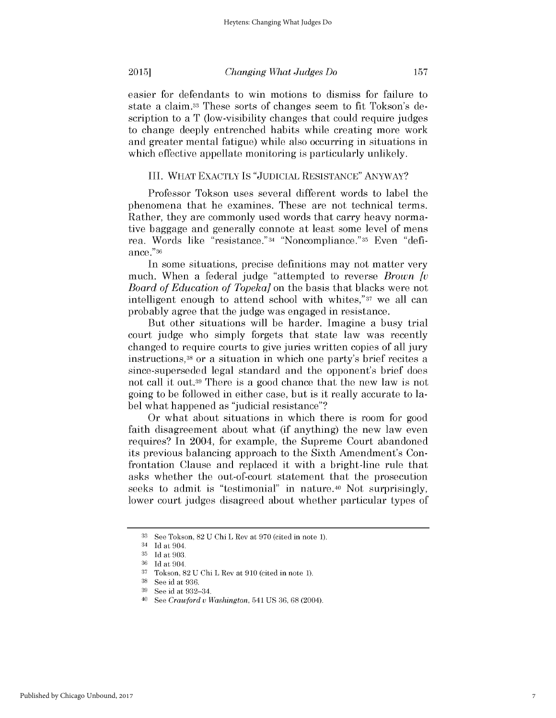easier for defendants to win motions to dismiss for failure to state a claim.33 These sorts of changes seem to fit Tokson's description to a T (low-visibility changes that could require judges to change deeply entrenched habits while creating more work and greater mental fatigue) while also occurring in situations in which effective appellate monitoring is particularly unlikely.

## III. WHAT EXACTLY IS "JUDICIAL RESISTANCE" ANYWAY?

Professor Tokson uses several different words to label the phenomena that he examines. These are not technical terms. Rather, they are commonly used words that carry heavy normative baggage and generally connote at least some level of mens re a. Words like "resistance."34 "Noncompliance." **35** Even "defiance ."36

In some situations, precise definitions may not matter very much. When a federal judge "attempted to reverse *Brown [v Board of Education of Topeka]* on the basis that blacks were not intelligent enough to attend school with whites,"37 we all can probably agree that the judge was engaged in resistance.

But other situations will be harder. Imagine a busy trial court judge who simply forgets that state law was recently changed to require courts to give juries written copies of all jury instructions,38 or a situation in which one party's brief recites a since-superseded legal standard and the opponent's brief does not call it out.<sup>39</sup> There is a good chance that the new law is not going to be followed in either case, but is it really accurate to label what happened as "judicial resistance"?

Or what about situations in which there is room for good faith disagreement about what (if anything) the new law even requires? In 2004, for example, the Supreme Court abandoned its previous balancing approach to the Sixth Amendment's Confrontation Clause and replaced it with a bright-line rule that asks whether the out-of-court statement that the prosecution seeks to admit is "testimonial" in nature.<sup>40</sup> Not surprisingly, lower court judges disagreed about whether particular types of

**<sup>33</sup>**See Tokson, 82 U Chi L Rev at 970 (cited in note 1).

<sup>34</sup> Id at 904.

<sup>&</sup>lt;sup>35</sup> Id at 903.

**<sup>36</sup>**Id at 904.

**<sup>37</sup>**Tokson, 82 U Chi L Rev at 910 (cited in note 1).

<sup>38</sup>See id at 936.

 $\frac{39}{40}$  See id at 932-34.

<sup>40</sup>See *Crawford u Washington,* 541 US 36, 68 (2004).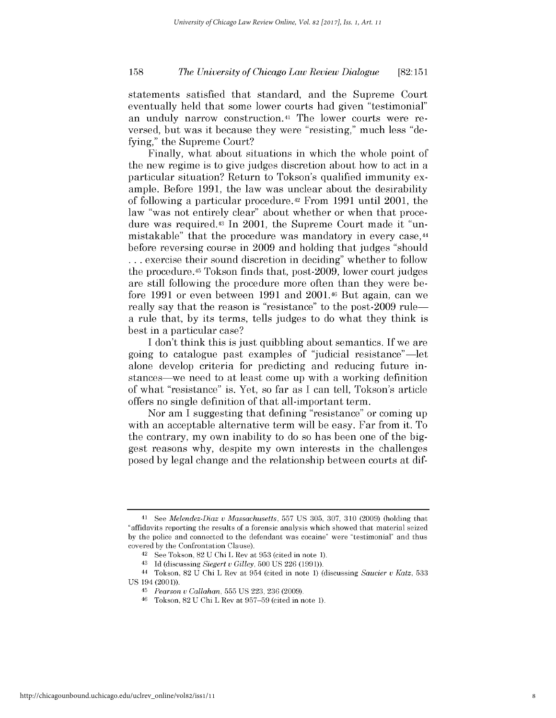statements satisfied that standard, and the Supreme Court eventually held that some lower courts had given "testimonial" an unduly narrow construction.41 The lower courts were reversed, but was it because they were "resisting," much less "defying," the Supreme Court?

Finally, what about situations in which the whole point of the new regime is to give judges discretion about how to act in a particular situation? Return to Tokson's qualified immunity example. Before 1991, the law was unclear about the desirability of following a particular procedure.42 From 1991 until 2001, the law "was not entirely clear" about whether or when that procedure was required.43 In 2001, the Supreme Court made it "unmistakable" that the procedure was mandatory in every case, <sup>44</sup> before reversing course in 2009 and holding that judges "should **...** exercise their sound discretion in deciding" whether to follow the procedure.<sup>45</sup> Tokson finds that, post-2009, lower court judges are still following the procedure more often than they were before 1991 or even between 1991 and 2001.46 But again, can we really say that the reason is "resistance" to the post-2009 rulea rule that, by its terms, tells judges to do what they think is best in a particular case?

I don't think this is just quibbling about semantics. If we are going to catalogue past examples of "judicial resistance" -let alone develop criteria for predicting and reducing future instances—we need to at least come up with a working definition of what "resistance" is. Yet, so far as I can tell, Tokson's article offers no single definition of that all-important term.

Nor am I suggesting that defining "resistance" or coming up with an acceptable alternative term will be easy. Far from it. To the contrary, my own inability to do so has been one of the biggest reasons why, despite my own interests in the challenges posed **by** legal change and the relationship between courts at dif-

<sup>41</sup>See *Melendez-Diaz u Massachusetts,* 557 US 305, 307, 310 (2009) (holding that "affidavits reporting the results of a forensic analysis which showed that material seized by the police and connected to the defendant was cocaine" were "testimonial" and thus covered by the Confrontation Clause).

<sup>42</sup> See Tokson, 82 U Chi L Rev at 953 (cited in note 1).

<sup>43</sup>Id (discussing *Siegert u Gilley,* 500 US 226 (1991)).

<sup>44</sup>Tokson, 82 U Chi L Rev at 954 (cited in note 1) (discussing *Saucier V Katz,* 533 US 194 (2001)).

*<sup>45</sup>Pearson u Callahan,* 555 US 223, 236 (2009).

**<sup>46</sup>**Tokson, 82 U Chi L Rev at 957-59 (cited in note 1).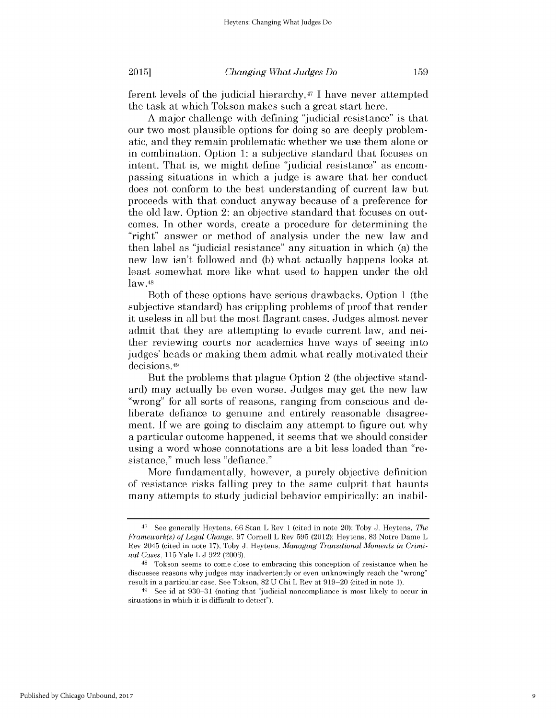ferent levels of the judicial hierarchy, $47$  I have never attempted the task at which Tokson makes such a great start here.

A major challenge with defining "judicial resistance" is that our two most plausible options for doing so are deeply problematic, and they remain problematic whether we use them alone or in combination. Option 1: a subjective standard that focuses on intent. That is, we might define "judicial resistance" as encompassing situations in which a judge is aware that her conduct does not conform to the best understanding of current law but proceeds with that conduct anyway because of a preference for the old law. Option 2: an objective standard that focuses on outcomes. In other words, create a procedure for determining the "right" answer or method of analysis under the new law and then label as "judicial resistance" any situation in which (a) the new law isn't followed and (b) what actually happens looks at least somewhat more like what used to happen under the old law.48

Both of these options have serious drawbacks. Option 1 (the subjective standard) has crippling problems of proof that render it useless in all but the most flagrant cases. Judges almost never admit that they are attempting to evade current law, and neither reviewing courts nor academics have ways of seeing into judges' heads or making them admit what really motivated their decisions. <sup>49</sup>

But the problems that plague Option 2 (the objective standard) may actually be even worse. Judges may get the new law "wrong" for all sorts of reasons, ranging from conscious and deliberate defiance to genuine and entirely reasonable disagreement. If we are going to disclaim any attempt to figure out why a particular outcome happened, it seems that we should consider using a word whose connotations are a bit less loaded than "resistance," much less "defiance."

More fundamentally, however, a purely objective definition of resistance risks falling prey to the same culprit that haunts many attempts to study judicial behavior empirically: an inabil-

<sup>47</sup>See generally Heytens, 66 Stan L Rev 1 (cited in note 20); Toby J. Heytens, *The Framework(s) of Legal Change,* 97 Cornell L Rev 595 (2012); Heytens, 83 Notre Dame L Rev 2045 (cited in note 17); Toby J. Heytens, *Managing Transitional Moments in Criminal Cases,* 115 Yale L J 922 (2006).

<sup>48</sup>Tokson seems to come close to embracing this conception of resistance when he discusses reasons why judges may inadvertently or even unknowingly reach the "wrong" result in a particular case. See Tokson, 82 U Chi L Rev at 919-20 (cited in note 1).

<sup>49</sup>See id at 930-31 (noting that "judicial noncompliance is most likely to occur in situations in which it is difficult to detect").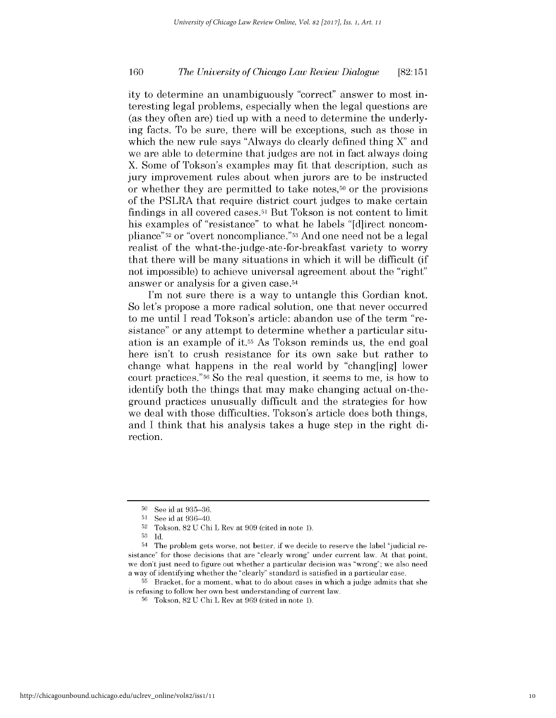ity to determine an unambiguously "correct" answer to most interesting legal problems, especially when the legal questions are (as they often are) tied up with a need to determine the underlying facts. To be sure, there will be exceptions, such as those in which the new rule says "Always do clearly defined thing X" and we are able to determine that judges are not in fact always doing X. Some of Tokson's examples may fit that description, such as jury improvement rules about when jurors are to be instructed or whether they are permitted to take notes,<sup>50</sup> or the provisions of the PSLRA that require district court judges to make certain findings in all covered cases.<sup>51</sup> But Tokson is not content to limit his examples of "resistance" to what he labels "[d]irect noncompliance"52 or "overt noncompliance."53 And one need not be a legal realist of the what-the-judge-ate-for-breakfast variety to worry that there will be many situations in which it will be difficult (if not impossible) to achieve universal agreement about the "right" answer or analysis for a given case. <sup>54</sup>

I'm not sure there is a way to untangle this Gordian knot. So let's propose a more radical solution, one that never occurred to me until I read Tokson's article: abandon use of the term "resistance" or any attempt to determine whether a particular situation is an example of it.55 As Tokson reminds us, the end goal here isn't to crush resistance for its own sake but rather to change what happens in the real world by "chang[ing] lower court practices."56 So the real question, it seems to me, is how to identify both the things that may make changing actual on-theground practices unusually difficult and the strategies for how we deal with those difficulties. Tokson's article does both things, and I think that his analysis takes a huge step in the right direction.

**<sup>55</sup>**Bracket, for a moment, what to do about cases in which a judge admits that she is refusing to follow her own best understanding of current law.

<sup>&</sup>lt;sup>50</sup> See id at 935-36.

**<sup>51</sup>**See id at 936-40.

 $52$  Tokson,  $82$  U Chi L Rev at  $909$  (cited in note 1).

<sup>53</sup> Id.

<sup>54</sup> The problem gets worse, not better, if we decide to reserve the label "judicial resistance" for those decisions that are "clearly wrong" under current law. At that point, we don't just need to figure out whether a particular decision was "wrong"; we also need a way of identifying whether the "clearly" standard is satisfied in a particular case.

**<sup>56</sup>**Tokson, 82 U Chi L Rev at 969 (cited in note 1).